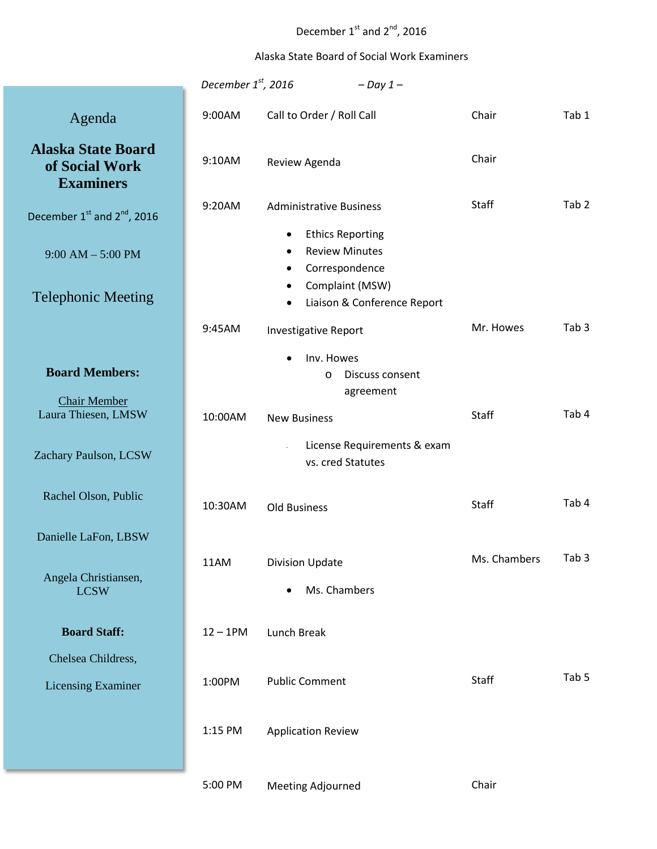## December  $1^{\text{st}}$  and  $2^{\text{nd}}$ , 2016

## Alaska State Board of Social Work Examiners

|                                                                 | December $1st$ , 2016                          | $-Day 1-$                                                                                         |              |                  |
|-----------------------------------------------------------------|------------------------------------------------|---------------------------------------------------------------------------------------------------|--------------|------------------|
| Agenda                                                          | 9:00AM                                         | Call to Order / Roll Call                                                                         | Chair        | Tab 1            |
| <b>Alaska State Board</b><br>of Social Work<br><b>Examiners</b> | 9:10AM                                         | Review Agenda                                                                                     | Chair        |                  |
| December 1 <sup>st</sup> and 2 <sup>nd</sup> , 2016             | 9:20AM                                         | <b>Administrative Business</b>                                                                    | Staff        | Tab <sub>2</sub> |
| $9:00 AM - 5:00 PM$                                             |                                                | <b>Ethics Reporting</b><br>$\bullet$<br><b>Review Minutes</b><br>٠<br>Correspondence<br>$\bullet$ |              |                  |
| <b>Telephonic Meeting</b>                                       |                                                | Complaint (MSW)<br>$\bullet$<br>Liaison & Conference Report<br>٠                                  |              |                  |
|                                                                 | 9:45AM                                         | <b>Investigative Report</b>                                                                       | Mr. Howes    | Tab <sub>3</sub> |
| <b>Board Members:</b><br><b>Chair Member</b>                    |                                                | Inv. Howes<br>$\bullet$<br>Discuss consent<br>$\circ$<br>agreement                                |              |                  |
| Laura Thiesen, LMSW                                             | 10:00AM                                        | <b>New Business</b>                                                                               | Staff        | Tab 4            |
| Zachary Paulson, LCSW                                           |                                                | License Requirements & exam<br>vs. cred Statutes                                                  |              |                  |
| Rachel Olson, Public                                            | 10:30AM                                        | <b>Old Business</b>                                                                               | Staff        | Tab 4            |
| Danielle LaFon, LBSW                                            |                                                |                                                                                                   | Ms. Chambers | Tab <sub>3</sub> |
| Angela Christiansen,<br><b>LCSW</b>                             | 11AM<br><b>Division Update</b><br>Ms. Chambers |                                                                                                   |              |                  |
| <b>Board Staff:</b>                                             | $12 - 1$ PM                                    | Lunch Break                                                                                       |              |                  |
| Chelsea Childress,                                              |                                                |                                                                                                   |              |                  |
| <b>Licensing Examiner</b>                                       | 1:00PM                                         | <b>Public Comment</b>                                                                             | Staff        | Tab <sub>5</sub> |
|                                                                 | 1:15 PM                                        | <b>Application Review</b>                                                                         |              |                  |
|                                                                 | 5:00 PM                                        | <b>Meeting Adjourned</b>                                                                          | Chair        |                  |